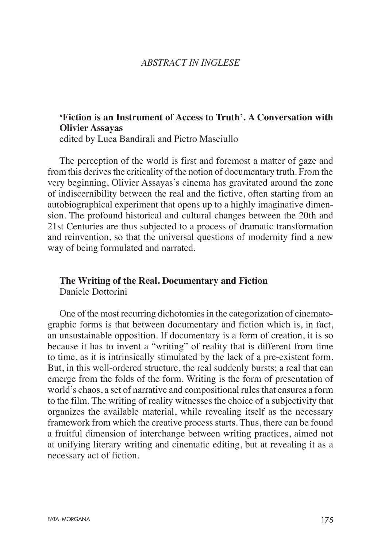#### *ABSTRACT IN INGLESE*

# **'Fiction is an Instrument of Access to Truth'. A Conversation with Olivier Assayas**

edited by Luca Bandirali and Pietro Masciullo

The perception of the world is first and foremost a matter of gaze and from this derives the criticality of the notion of documentary truth. From the very beginning, Olivier Assayas's cinema has gravitated around the zone of indiscernibility between the real and the fictive, often starting from an autobiographical experiment that opens up to a highly imaginative dimension. The profound historical and cultural changes between the 20th and 21st Centuries are thus subjected to a process of dramatic transformation and reinvention, so that the universal questions of modernity find a new way of being formulated and narrated.

#### **The Writing of the Real. Documentary and Fiction** Daniele Dottorini

One of the most recurring dichotomies in the categorization of cinematographic forms is that between documentary and fiction which is, in fact, an unsustainable opposition. If documentary is a form of creation, it is so because it has to invent a "writing" of reality that is different from time to time, as it is intrinsically stimulated by the lack of a pre-existent form. But, in this well-ordered structure, the real suddenly bursts; a real that can emerge from the folds of the form. Writing is the form of presentation of world's chaos, a set of narrative and compositional rules that ensures a form to the film. The writing of reality witnesses the choice of a subjectivity that organizes the available material, while revealing itself as the necessary framework from which the creative process starts. Thus, there can be found a fruitful dimension of interchange between writing practices, aimed not at unifying literary writing and cinematic editing, but at revealing it as a necessary act of fiction.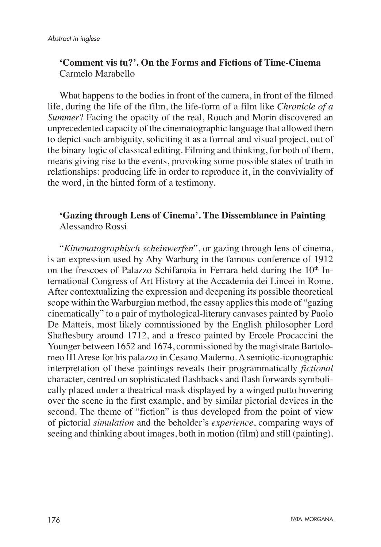## **'Comment vis tu?'. On the Forms and Fictions of Time-Cinema** Carmelo Marabello

What happens to the bodies in front of the camera, in front of the filmed life, during the life of the film, the life-form of a film like *Chronicle of a Summer*? Facing the opacity of the real, Rouch and Morin discovered an unprecedented capacity of the cinematographic language that allowed them to depict such ambiguity, soliciting it as a formal and visual project, out of the binary logic of classical editing. Filming and thinking, for both of them, means giving rise to the events, provoking some possible states of truth in relationships: producing life in order to reproduce it, in the conviviality of the word, in the hinted form of a testimony.

### **'Gazing through Lens of Cinema'. The Dissemblance in Painting** Alessandro Rossi

"*Kinematographisch scheinwerfen*", or gazing through lens of cinema, is an expression used by Aby Warburg in the famous conference of 1912 on the frescoes of Palazzo Schifanoia in Ferrara held during the  $10<sup>th</sup>$  International Congress of Art History at the Accademia dei Lincei in Rome. After contextualizing the expression and deepening its possible theoretical scope within the Warburgian method, the essay applies this mode of "gazing cinematically" to a pair of mythological-literary canvases painted by Paolo De Matteis, most likely commissioned by the English philosopher Lord Shaftesbury around 1712, and a fresco painted by Ercole Procaccini the Younger between 1652 and 1674, commissioned by the magistrate Bartolomeo III Arese for his palazzo in Cesano Maderno. A semiotic-iconographic interpretation of these paintings reveals their programmatically *fictional* character, centred on sophisticated flashbacks and flash forwards symbolically placed under a theatrical mask displayed by a winged putto hovering over the scene in the first example, and by similar pictorial devices in the second. The theme of "fiction" is thus developed from the point of view of pictorial *simulation* and the beholder's *experience*, comparing ways of seeing and thinking about images, both in motion (film) and still (painting).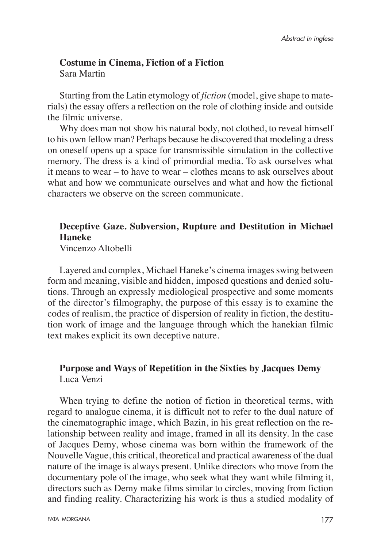#### **Costume in Cinema, Fiction of a Fiction** Sara Martin

Starting from the Latin etymology of *fiction* (model, give shape to materials) the essay offers a reflection on the role of clothing inside and outside the filmic universe.

Why does man not show his natural body, not clothed, to reveal himself to his own fellow man? Perhaps because he discovered that modeling a dress on oneself opens up a space for transmissible simulation in the collective memory. The dress is a kind of primordial media. To ask ourselves what it means to wear – to have to wear – clothes means to ask ourselves about what and how we communicate ourselves and what and how the fictional characters we observe on the screen communicate.

### **Deceptive Gaze. Subversion, Rupture and Destitution in Michael Haneke**

Vincenzo Altobelli

Layered and complex, Michael Haneke's cinema images swing between form and meaning, visible and hidden, imposed questions and denied solutions. Through an expressly mediological prospective and some moments of the director's filmography, the purpose of this essay is to examine the codes of realism, the practice of dispersion of reality in fiction, the destitution work of image and the language through which the hanekian filmic text makes explicit its own deceptive nature.

#### **Purpose and Ways of Repetition in the Sixties by Jacques Demy** Luca Venzi

When trying to define the notion of fiction in theoretical terms, with regard to analogue cinema, it is difficult not to refer to the dual nature of the cinematographic image, which Bazin, in his great reflection on the relationship between reality and image, framed in all its density. In the case of Jacques Demy, whose cinema was born within the framework of the Nouvelle Vague, this critical, theoretical and practical awareness of the dual nature of the image is always present. Unlike directors who move from the documentary pole of the image, who seek what they want while filming it, directors such as Demy make films similar to circles, moving from fiction and finding reality. Characterizing his work is thus a studied modality of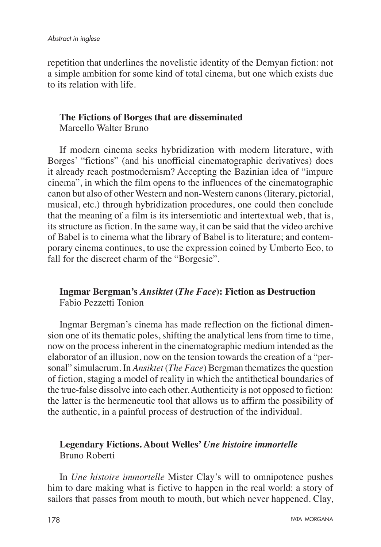repetition that underlines the novelistic identity of the Demyan fiction: not a simple ambition for some kind of total cinema, but one which exists due to its relation with life.

### **The Fictions of Borges that are disseminated** Marcello Walter Bruno

If modern cinema seeks hybridization with modern literature, with Borges' "fictions" (and his unofficial cinematographic derivatives) does it already reach postmodernism? Accepting the Bazinian idea of "impure cinema", in which the film opens to the influences of the cinematographic canon but also of other Western and non-Western canons (literary, pictorial, musical, etc.) through hybridization procedures, one could then conclude that the meaning of a film is its intersemiotic and intertextual web, that is, its structure as fiction. In the same way, it can be said that the video archive of Babel is to cinema what the library of Babel is to literature; and contemporary cinema continues, to use the expression coined by Umberto Eco, to fall for the discreet charm of the "Borgesie".

### **Ingmar Bergman's** *Ansiktet* **(***The Face***): Fiction as Destruction** Fabio Pezzetti Tonion

Ingmar Bergman's cinema has made reflection on the fictional dimension one of its thematic poles, shifting the analytical lens from time to time, now on the process inherent in the cinematographic medium intended as the elaborator of an illusion, now on the tension towards the creation of a "personal" simulacrum. In *Ansiktet* (*The Face*) Bergman thematizes the question of fiction, staging a model of reality in which the antithetical boundaries of the true-false dissolve into each other. Authenticity is not opposed to fiction: the latter is the hermeneutic tool that allows us to affirm the possibility of the authentic, in a painful process of destruction of the individual.

## **Legendary Fictions. About Welles'** *Une histoire immortelle* Bruno Roberti

In *Une histoire immortelle* Mister Clay's will to omnipotence pushes him to dare making what is fictive to happen in the real world: a story of sailors that passes from mouth to mouth, but which never happened. Clay,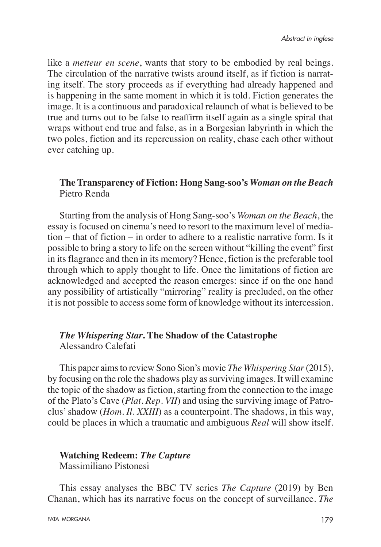like a *metteur en scene*, wants that story to be embodied by real beings. The circulation of the narrative twists around itself, as if fiction is narrating itself. The story proceeds as if everything had already happened and is happening in the same moment in which it is told. Fiction generates the image. It is a continuous and paradoxical relaunch of what is believed to be true and turns out to be false to reaffirm itself again as a single spiral that wraps without end true and false, as in a Borgesian labyrinth in which the two poles, fiction and its repercussion on reality, chase each other without ever catching up.

### **The Transparency of Fiction: Hong Sang-soo's** *Woman on the Beach*  Pietro Renda

Starting from the analysis of Hong Sang-soo's *Woman on the Beach*, the essay is focused on cinema's need to resort to the maximum level of mediation – that of fiction – in order to adhere to a realistic narrative form. Is it possible to bring a story to life on the screen without "killing the event" first in its flagrance and then in its memory? Hence, fiction is the preferable tool through which to apply thought to life. Once the limitations of fiction are acknowledged and accepted the reason emerges: since if on the one hand any possibility of artistically "mirroring" reality is precluded, on the other it is not possible to access some form of knowledge without its intercession.

#### *The Whispering Star***. The Shadow of the Catastrophe** Alessandro Calefati

This paper aims to review Sono Sion's movie *The Whispering Star* (2015), by focusing on the role the shadows play as surviving images. It will examine the topic of the shadow as fiction, starting from the connection to the image of the Plato's Cave (*Plat. Rep. VII*) and using the surviving image of Patroclus' shadow (*Hom. Il. XXIII*) as a counterpoint. The shadows, in this way, could be places in which a traumatic and ambiguous *Real* will show itself.

### **Watching Redeem:** *The Capture*

Massimiliano Pistonesi

This essay analyses the BBC TV series *The Capture* (2019) by Ben Chanan, which has its narrative focus on the concept of surveillance. *The*